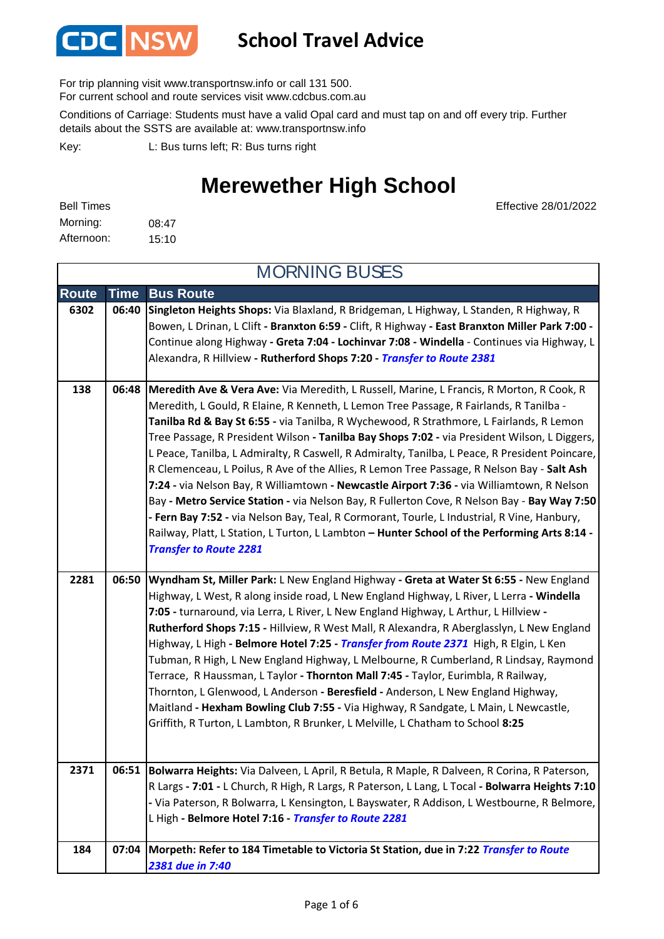

### **School Travel Advice**

For trip planning visit www.transportnsw.info or call 131 500.

For current school and route services visit www.cdcbus.com.au

Conditions of Carriage: Students must have a valid Opal card and must tap on and off every trip. Further details about the SSTS are available at: www.transportnsw.info

L: Bus turns left; R: Bus turns right Key:

### **Merewether High School**

| <b>Bell Times</b> |       |
|-------------------|-------|
| Morning:          | 08:47 |
| Afternoon:        | 15:10 |

Effective 28/01/2022

| <b>MORNING BUSES</b> |             |                                                                                                                                                                                                                                                                                                                                                                                                                                                                                                                                                                                                                                                                                                                                                                                                                                                                                                                                                                                                                   |
|----------------------|-------------|-------------------------------------------------------------------------------------------------------------------------------------------------------------------------------------------------------------------------------------------------------------------------------------------------------------------------------------------------------------------------------------------------------------------------------------------------------------------------------------------------------------------------------------------------------------------------------------------------------------------------------------------------------------------------------------------------------------------------------------------------------------------------------------------------------------------------------------------------------------------------------------------------------------------------------------------------------------------------------------------------------------------|
| <b>Route</b>         | <b>Time</b> | <b>Bus Route</b>                                                                                                                                                                                                                                                                                                                                                                                                                                                                                                                                                                                                                                                                                                                                                                                                                                                                                                                                                                                                  |
| 6302                 | 06:40       | Singleton Heights Shops: Via Blaxland, R Bridgeman, L Highway, L Standen, R Highway, R<br>Bowen, L Drinan, L Clift - Branxton 6:59 - Clift, R Highway - East Branxton Miller Park 7:00 -<br>Continue along Highway - Greta 7:04 - Lochinvar 7:08 - Windella - Continues via Highway, L<br>Alexandra, R Hillview - Rutherford Shops 7:20 - Transfer to Route 2381                                                                                                                                                                                                                                                                                                                                                                                                                                                                                                                                                                                                                                                  |
| 138                  |             | 06:48   Meredith Ave & Vera Ave: Via Meredith, L Russell, Marine, L Francis, R Morton, R Cook, R<br>Meredith, L Gould, R Elaine, R Kenneth, L Lemon Tree Passage, R Fairlands, R Tanilba -<br>Tanilba Rd & Bay St 6:55 - via Tanilba, R Wychewood, R Strathmore, L Fairlands, R Lemon<br>Tree Passage, R President Wilson - Tanilba Bay Shops 7:02 - via President Wilson, L Diggers,<br>L Peace, Tanilba, L Admiralty, R Caswell, R Admiralty, Tanilba, L Peace, R President Poincare,<br>R Clemenceau, L Poilus, R Ave of the Allies, R Lemon Tree Passage, R Nelson Bay - Salt Ash<br>7:24 - via Nelson Bay, R Williamtown - Newcastle Airport 7:36 - via Williamtown, R Nelson<br>Bay - Metro Service Station - via Nelson Bay, R Fullerton Cove, R Nelson Bay - Bay Way 7:50<br>- Fern Bay 7:52 - via Nelson Bay, Teal, R Cormorant, Tourle, L Industrial, R Vine, Hanbury,<br>Railway, Platt, L Station, L Turton, L Lambton - Hunter School of the Performing Arts 8:14 -<br><b>Transfer to Route 2281</b> |
| 2281                 | 06:50       | Wyndham St, Miller Park: L New England Highway - Greta at Water St 6:55 - New England<br>Highway, L West, R along inside road, L New England Highway, L River, L Lerra - Windella<br>7:05 - turnaround, via Lerra, L River, L New England Highway, L Arthur, L Hillview -<br>Rutherford Shops 7:15 - Hillview, R West Mall, R Alexandra, R Aberglasslyn, L New England<br>Highway, L High - Belmore Hotel 7:25 - Transfer from Route 2371 High, R Elgin, L Ken<br>Tubman, R High, L New England Highway, L Melbourne, R Cumberland, R Lindsay, Raymond<br>Terrace, R Haussman, L Taylor - Thornton Mall 7:45 - Taylor, Eurimbla, R Railway,<br>Thornton, L Glenwood, L Anderson - Beresfield - Anderson, L New England Highway,<br>Maitland - Hexham Bowling Club 7:55 - Via Highway, R Sandgate, L Main, L Newcastle,<br>Griffith, R Turton, L Lambton, R Brunker, L Melville, L Chatham to School 8:25                                                                                                          |
| 2371                 | 06:51       | Bolwarra Heights: Via Dalveen, L April, R Betula, R Maple, R Dalveen, R Corina, R Paterson,<br>R Largs - 7:01 - L Church, R High, R Largs, R Paterson, L Lang, L Tocal - Bolwarra Heights 7:10<br>- Via Paterson, R Bolwarra, L Kensington, L Bayswater, R Addison, L Westbourne, R Belmore,<br>L High - Belmore Hotel 7:16 - Transfer to Route 2281                                                                                                                                                                                                                                                                                                                                                                                                                                                                                                                                                                                                                                                              |
| 184                  | 07:04       | Morpeth: Refer to 184 Timetable to Victoria St Station, due in 7:22 Transfer to Route<br>2381 due in 7:40                                                                                                                                                                                                                                                                                                                                                                                                                                                                                                                                                                                                                                                                                                                                                                                                                                                                                                         |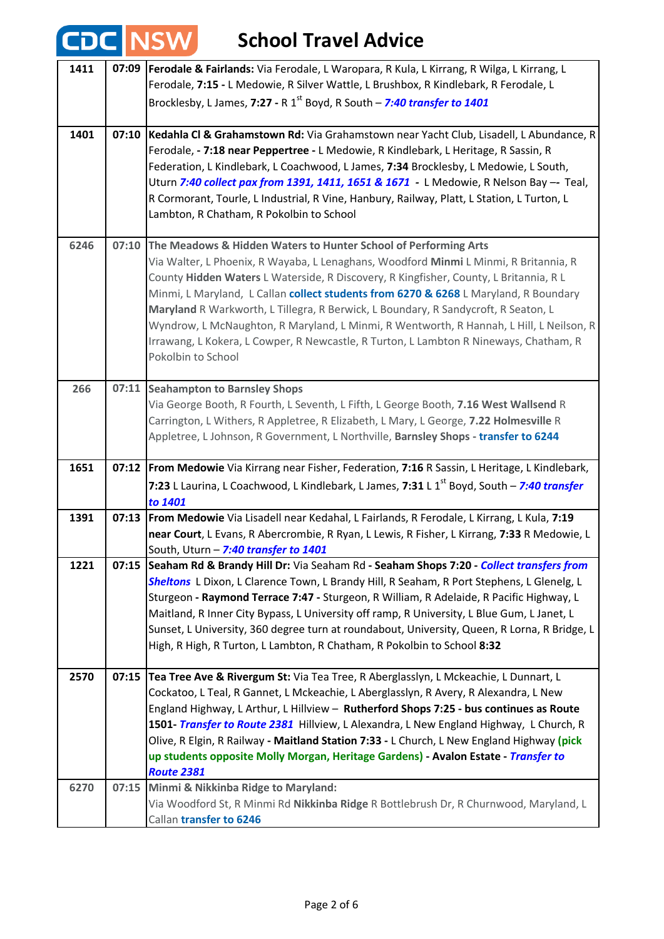| <b>CDC NSV</b> |       | <b>School Travel Advice</b>                                                                                                                                                                                                                                                                                                                                                                                                                                                                                                                                                                                                              |
|----------------|-------|------------------------------------------------------------------------------------------------------------------------------------------------------------------------------------------------------------------------------------------------------------------------------------------------------------------------------------------------------------------------------------------------------------------------------------------------------------------------------------------------------------------------------------------------------------------------------------------------------------------------------------------|
| 1411           | 07:09 | Ferodale & Fairlands: Via Ferodale, L Waropara, R Kula, L Kirrang, R Wilga, L Kirrang, L<br>Ferodale, 7:15 - L Medowie, R Silver Wattle, L Brushbox, R Kindlebark, R Ferodale, L<br>Brocklesby, L James, 7:27 - R 1 <sup>st</sup> Boyd, R South - 7:40 transfer to 1401                                                                                                                                                                                                                                                                                                                                                                  |
| 1401           | 07:10 | Kedahla Cl & Grahamstown Rd: Via Grahamstown near Yacht Club, Lisadell, L Abundance, R<br>Ferodale, - 7:18 near Peppertree - L Medowie, R Kindlebark, L Heritage, R Sassin, R<br>Federation, L Kindlebark, L Coachwood, L James, 7:34 Brocklesby, L Medowie, L South,<br>Uturn 7:40 collect pax from 1391, 1411, 1651 & 1671 - L Medowie, R Nelson Bay -- Teal,<br>R Cormorant, Tourle, L Industrial, R Vine, Hanbury, Railway, Platt, L Station, L Turton, L<br>Lambton, R Chatham, R Pokolbin to School                                                                                                                                |
| 6246           | 07:10 | The Meadows & Hidden Waters to Hunter School of Performing Arts<br>Via Walter, L Phoenix, R Wayaba, L Lenaghans, Woodford Minmi L Minmi, R Britannia, R<br>County Hidden Waters L Waterside, R Discovery, R Kingfisher, County, L Britannia, R L<br>Minmi, L Maryland, L Callan collect students from 6270 & 6268 L Maryland, R Boundary<br>Maryland R Warkworth, L Tillegra, R Berwick, L Boundary, R Sandycroft, R Seaton, L<br>Wyndrow, L McNaughton, R Maryland, L Minmi, R Wentworth, R Hannah, L Hill, L Neilson, R<br>Irrawang, L Kokera, L Cowper, R Newcastle, R Turton, L Lambton R Nineways, Chatham, R<br>Pokolbin to School |
| 266            | 07:11 | <b>Seahampton to Barnsley Shops</b><br>Via George Booth, R Fourth, L Seventh, L Fifth, L George Booth, 7.16 West Wallsend R<br>Carrington, L Withers, R Appletree, R Elizabeth, L Mary, L George, 7.22 Holmesville R<br>Appletree, L Johnson, R Government, L Northville, Barnsley Shops - transfer to 6244                                                                                                                                                                                                                                                                                                                              |
| 1651           |       | 07:12 From Medowie Via Kirrang near Fisher, Federation, 7:16 R Sassin, L Heritage, L Kindlebark,<br>7:23 L Laurina, L Coachwood, L Kindlebark, L James, 7:31 L 1 <sup>st</sup> Boyd, South - 7:40 transfer<br>to 1401                                                                                                                                                                                                                                                                                                                                                                                                                    |
| 1391           |       | 07:13   From Medowie Via Lisadell near Kedahal, L Fairlands, R Ferodale, L Kirrang, L Kula, 7:19<br>near Court, L Evans, R Abercrombie, R Ryan, L Lewis, R Fisher, L Kirrang, 7:33 R Medowie, L<br>South, Uturn - 7:40 transfer to 1401                                                                                                                                                                                                                                                                                                                                                                                                  |
| 1221           | 07:15 | Seaham Rd & Brandy Hill Dr: Via Seaham Rd - Seaham Shops 7:20 - Collect transfers from<br>Sheltons L Dixon, L Clarence Town, L Brandy Hill, R Seaham, R Port Stephens, L Glenelg, L<br>Sturgeon - Raymond Terrace 7:47 - Sturgeon, R William, R Adelaide, R Pacific Highway, L<br>Maitland, R Inner City Bypass, L University off ramp, R University, L Blue Gum, L Janet, L<br>Sunset, L University, 360 degree turn at roundabout, University, Queen, R Lorna, R Bridge, L<br>High, R High, R Turton, L Lambton, R Chatham, R Pokolbin to School 8:32                                                                                  |
| 2570           | 07:15 | Tea Tree Ave & Rivergum St: Via Tea Tree, R Aberglasslyn, L Mckeachie, L Dunnart, L<br>Cockatoo, L Teal, R Gannet, L Mckeachie, L Aberglasslyn, R Avery, R Alexandra, L New<br>England Highway, L Arthur, L Hillview - Rutherford Shops 7:25 - bus continues as Route<br>1501- Transfer to Route 2381 Hillview, L Alexandra, L New England Highway, L Church, R<br>Olive, R Elgin, R Railway - Maitland Station 7:33 - L Church, L New England Highway (pick<br>up students opposite Molly Morgan, Heritage Gardens) - Avalon Estate - Transfer to<br><b>Route 2381</b>                                                                  |
| 6270           | 07:15 | Minmi & Nikkinba Ridge to Maryland:<br>Via Woodford St, R Minmi Rd Nikkinba Ridge R Bottlebrush Dr, R Churnwood, Maryland, L<br>Callan transfer to 6246                                                                                                                                                                                                                                                                                                                                                                                                                                                                                  |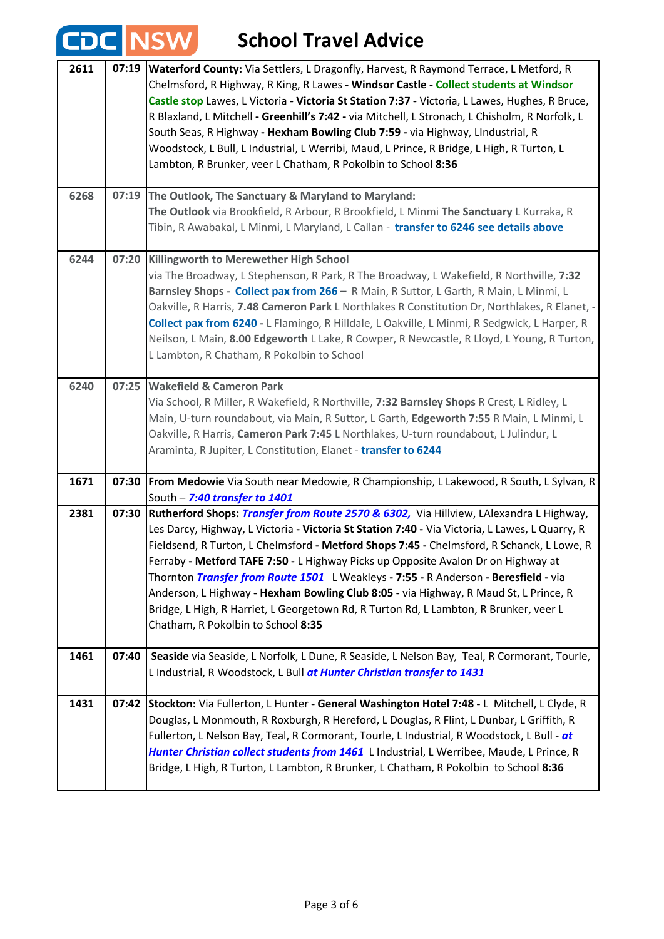#### **School Travel Advice 2611 07:19 Waterford County:** Via Settlers, L Dragonfly, Harvest, R Raymond Terrace, L Metford, R Chelmsford, R Highway, R King, R Lawes **- Windsor Castle - Collect students at Windsor Castle stop** Lawes, L Victoria **- Victoria St Station 7:37 -** Victoria, L Lawes, Hughes, R Bruce, R Blaxland, L Mitchell **- Greenhill's 7:42 -** via Mitchell, L Stronach, L Chisholm, R Norfolk, L South Seas, R Highway **- Hexham Bowling Club 7:59 -** via Highway, LIndustrial, R Woodstock, L Bull, L Industrial, L Werribi, Maud, L Prince, R Bridge, L High, R Turton, L Lambton, R Brunker, veer L Chatham, R Pokolbin to School **8:36 The Outlook, The Sanctuary & Maryland to Maryland: 6268 07:19 The Outlook** via Brookfield, R Arbour, R Brookfield, L Minmi **The Sanctuary** L Kurraka, R Tibin, R Awabakal, L Minmi, L Maryland, L Callan *-* **transfer to 6246 see details above Killingworth to Merewether High School 6244 07:20** via The Broadway, L Stephenson, R Park, R The Broadway, L Wakefield, R Northville, **7:32 Barnsley Shops** *-* **Collect pax from 266** *–* R Main, R Suttor, L Garth, R Main, L Minmi, L Oakville, R Harris, **7.48 Cameron Park** L Northlakes R Constitution Dr, Northlakes, R Elanet, - **Collect pax from 6240 -** L Flamingo, R Hilldale, L Oakville, L Minmi, R Sedgwick, L Harper, R Neilson, L Main, **8.00 Edgeworth** L Lake, R Cowper, R Newcastle, R Lloyd, L Young, R Turton, L Lambton, R Chatham, R Pokolbin to School **Wakefield & Cameron Park 6240 07:25** Via School, R Miller, R Wakefield, R Northville, **7:32 Barnsley Shops** R Crest, L Ridley, L Main, U-turn roundabout, via Main, R Suttor, L Garth, **Edgeworth 7:55** R Main, L Minmi, L Oakville, R Harris, **Cameron Park 7:45** L Northlakes, U-turn roundabout, L Julindur, L Araminta, R Jupiter, L Constitution, Elanet - **transfer to 6244 1671 07:30 From Medowie** Via South near Medowie, R Championship, L Lakewood, R South, L Sylvan, R South – *7:40 transfer to 1401* **2381 07:30 Rutherford Shops:** *Transfer from Route 2570 & 6302,* Via Hillview, LAlexandra L Highway, Les Darcy, Highway, L Victoria **- Victoria St Station 7:40 -** Via Victoria, L Lawes, L Quarry, R Fieldsend, R Turton, L Chelmsford **- Metford Shops 7:45 -** Chelmsford, R Schanck, L Lowe, R Ferraby **- Metford TAFE 7:50 -** L Highway Picks up Opposite Avalon Dr on Highway at Thornton *Transfer from Route 1501* L Weakleys **- 7:55 -** R Anderson **- Beresfield -** via Anderson, L Highway **- Hexham Bowling Club 8:05 -** via Highway, R Maud St, L Prince, R Bridge, L High, R Harriet, L Georgetown Rd, R Turton Rd, L Lambton, R Brunker, veer L Chatham, R Pokolbin to School **8:35 1461** | 07:40 | Seaside via Seaside, L Norfolk, L Dune, R Seaside, L Nelson Bay, Teal, R Cormorant, Tourle, L Industrial, R Woodstock, L Bull *at Hunter Christian transfer to 1431* **1431 07:42 Stockton:** Via Fullerton, L Hunter **- General Washington Hotel 7:48 -** L Mitchell, L Clyde, R Douglas, L Monmouth, R Roxburgh, R Hereford, L Douglas, R Flint, L Dunbar, L Griffith, R Fullerton, L Nelson Bay, Teal, R Cormorant, Tourle, L Industrial, R Woodstock, L Bull - *at Hunter Christian collect students from 1461* L Industrial, L Werribee, Maude, L Prince, R Bridge, L High, R Turton, L Lambton, R Brunker, L Chatham, R Pokolbin to School **8:36**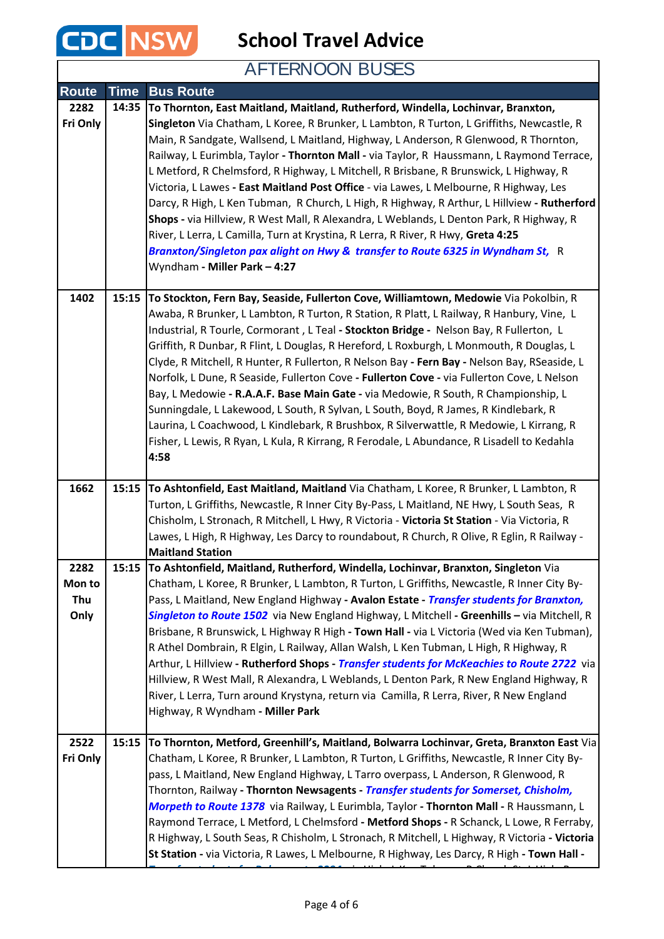

**School Travel Advice**

### AFTERNOON BUSES

| Route                         | <b>Time</b> | <b>Bus Route</b>                                                                                                                                                                                                                                                                                                                                                                                                                                                                                                                                                                                                                                                                                                                                                                                                                                                                                                                                      |
|-------------------------------|-------------|-------------------------------------------------------------------------------------------------------------------------------------------------------------------------------------------------------------------------------------------------------------------------------------------------------------------------------------------------------------------------------------------------------------------------------------------------------------------------------------------------------------------------------------------------------------------------------------------------------------------------------------------------------------------------------------------------------------------------------------------------------------------------------------------------------------------------------------------------------------------------------------------------------------------------------------------------------|
| 2282<br>Fri Only              | 14:35       | To Thornton, East Maitland, Maitland, Rutherford, Windella, Lochinvar, Branxton,<br>Singleton Via Chatham, L Koree, R Brunker, L Lambton, R Turton, L Griffiths, Newcastle, R<br>Main, R Sandgate, Wallsend, L Maitland, Highway, L Anderson, R Glenwood, R Thornton,<br>Railway, L Eurimbla, Taylor - Thornton Mall - via Taylor, R Haussmann, L Raymond Terrace,<br>L Metford, R Chelmsford, R Highway, L Mitchell, R Brisbane, R Brunswick, L Highway, R<br>Victoria, L Lawes - East Maitland Post Office - via Lawes, L Melbourne, R Highway, Les<br>Darcy, R High, L Ken Tubman, R Church, L High, R Highway, R Arthur, L Hillview - Rutherford<br>Shops - via Hillview, R West Mall, R Alexandra, L Weblands, L Denton Park, R Highway, R<br>River, L Lerra, L Camilla, Turn at Krystina, R Lerra, R River, R Hwy, Greta 4:25<br>Branxton/Singleton pax alight on Hwy & transfer to Route 6325 in Wyndham St, R<br>Wyndham - Miller Park - 4:27 |
| 1402                          | 15:15       | To Stockton, Fern Bay, Seaside, Fullerton Cove, Williamtown, Medowie Via Pokolbin, R<br>Awaba, R Brunker, L Lambton, R Turton, R Station, R Platt, L Railway, R Hanbury, Vine, L<br>Industrial, R Tourle, Cormorant, L Teal - Stockton Bridge - Nelson Bay, R Fullerton, L<br>Griffith, R Dunbar, R Flint, L Douglas, R Hereford, L Roxburgh, L Monmouth, R Douglas, L<br>Clyde, R Mitchell, R Hunter, R Fullerton, R Nelson Bay - Fern Bay - Nelson Bay, RSeaside, L<br>Norfolk, L Dune, R Seaside, Fullerton Cove - Fullerton Cove - via Fullerton Cove, L Nelson<br>Bay, L Medowie - R.A.A.F. Base Main Gate - via Medowie, R South, R Championship, L<br>Sunningdale, L Lakewood, L South, R Sylvan, L South, Boyd, R James, R Kindlebark, R<br>Laurina, L Coachwood, L Kindlebark, R Brushbox, R Silverwattle, R Medowie, L Kirrang, R<br>Fisher, L Lewis, R Ryan, L Kula, R Kirrang, R Ferodale, L Abundance, R Lisadell to Kedahla<br>4:58     |
| 1662                          |             | 15:15 To Ashtonfield, East Maitland, Maitland Via Chatham, L Koree, R Brunker, L Lambton, R<br>Turton, L Griffiths, Newcastle, R Inner City By-Pass, L Maitland, NE Hwy, L South Seas, R<br>Chisholm, L Stronach, R Mitchell, L Hwy, R Victoria - Victoria St Station - Via Victoria, R<br>Lawes, L High, R Highway, Les Darcy to roundabout, R Church, R Olive, R Eglin, R Railway -<br><b>Maitland Station</b>                                                                                                                                                                                                                                                                                                                                                                                                                                                                                                                                      |
| 2282<br>Mon to<br>Thu<br>Only | 15:15       | To Ashtonfield, Maitland, Rutherford, Windella, Lochinvar, Branxton, Singleton Via<br>Chatham, L Koree, R Brunker, L Lambton, R Turton, L Griffiths, Newcastle, R Inner City By-<br>Pass, L Maitland, New England Highway - Avalon Estate - Transfer students for Branxton,<br>Singleton to Route 1502 via New England Highway, L Mitchell - Greenhills - via Mitchell, R<br>Brisbane, R Brunswick, L Highway R High - Town Hall - via L Victoria (Wed via Ken Tubman),<br>R Athel Dombrain, R Elgin, L Railway, Allan Walsh, L Ken Tubman, L High, R Highway, R<br>Arthur, L Hillview - Rutherford Shops - Transfer students for McKeachies to Route 2722 via<br>Hillview, R West Mall, R Alexandra, L Weblands, L Denton Park, R New England Highway, R<br>River, L Lerra, Turn around Krystyna, return via Camilla, R Lerra, River, R New England<br>Highway, R Wyndham - Miller Park                                                              |
| 2522<br>Fri Only              | 15:15       | To Thornton, Metford, Greenhill's, Maitland, Bolwarra Lochinvar, Greta, Branxton East Via<br>Chatham, L Koree, R Brunker, L Lambton, R Turton, L Griffiths, Newcastle, R Inner City By-<br>pass, L Maitland, New England Highway, L Tarro overpass, L Anderson, R Glenwood, R<br>Thornton, Railway - Thornton Newsagents - Transfer students for Somerset, Chisholm,<br>Morpeth to Route 1378 via Railway, L Eurimbla, Taylor - Thornton Mall - R Haussmann, L<br>Raymond Terrace, L Metford, L Chelmsford - Metford Shops - R Schanck, L Lowe, R Ferraby,<br>R Highway, L South Seas, R Chisholm, L Stronach, R Mitchell, L Highway, R Victoria - Victoria<br>St Station - via Victoria, R Lawes, L Melbourne, R Highway, Les Darcy, R High - Town Hall -                                                                                                                                                                                            |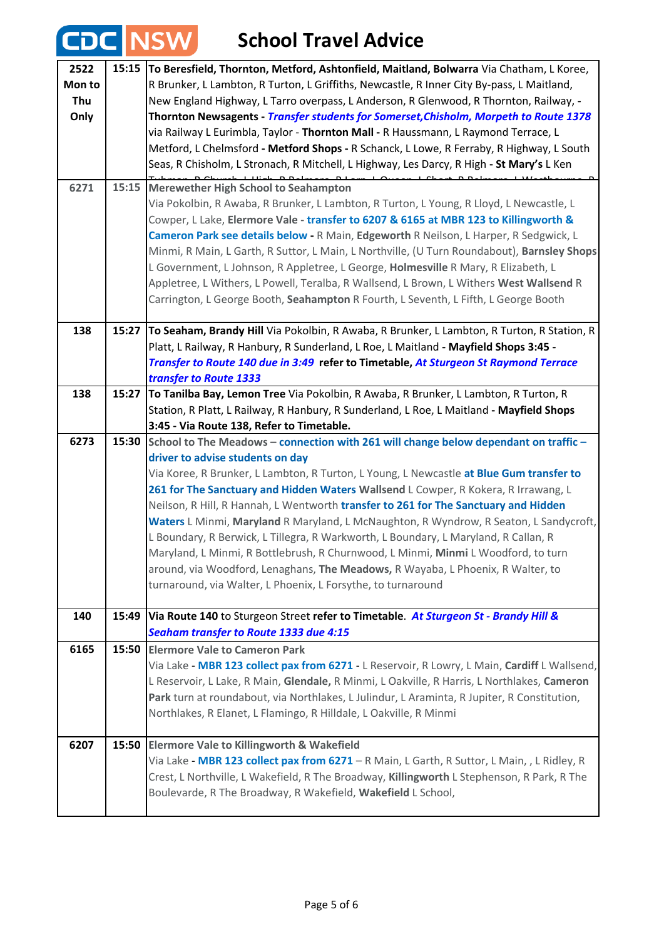## **CDC** NSW School Travel Advice

| 2522<br>Mon to<br>Thu<br>Only<br>6271 | 15:15 | To Beresfield, Thornton, Metford, Ashtonfield, Maitland, Bolwarra Via Chatham, L Koree,<br>R Brunker, L Lambton, R Turton, L Griffiths, Newcastle, R Inner City By-pass, L Maitland,<br>New England Highway, L Tarro overpass, L Anderson, R Glenwood, R Thornton, Railway, -<br>Thornton Newsagents - Transfer students for Somerset, Chisholm, Morpeth to Route 1378<br>via Railway L Eurimbla, Taylor - Thornton Mall - R Haussmann, L Raymond Terrace, L<br>Metford, L Chelmsford - Metford Shops - R Schanck, L Lowe, R Ferraby, R Highway, L South<br>Seas, R Chisholm, L Stronach, R Mitchell, L Highway, Les Darcy, R High - St Mary's L Ken<br>15:15 Merewether High School to Seahampton<br>Via Pokolbin, R Awaba, R Brunker, L Lambton, R Turton, L Young, R Lloyd, L Newcastle, L<br>Cowper, L Lake, Elermore Vale - transfer to 6207 & 6165 at MBR 123 to Killingworth &<br>Cameron Park see details below - R Main, Edgeworth R Neilson, L Harper, R Sedgwick, L |
|---------------------------------------|-------|--------------------------------------------------------------------------------------------------------------------------------------------------------------------------------------------------------------------------------------------------------------------------------------------------------------------------------------------------------------------------------------------------------------------------------------------------------------------------------------------------------------------------------------------------------------------------------------------------------------------------------------------------------------------------------------------------------------------------------------------------------------------------------------------------------------------------------------------------------------------------------------------------------------------------------------------------------------------------------|
|                                       |       | Minmi, R Main, L Garth, R Suttor, L Main, L Northville, (U Turn Roundabout), Barnsley Shops<br>L Government, L Johnson, R Appletree, L George, Holmesville R Mary, R Elizabeth, L<br>Appletree, L Withers, L Powell, Teralba, R Wallsend, L Brown, L Withers West Wallsend R<br>Carrington, L George Booth, Seahampton R Fourth, L Seventh, L Fifth, L George Booth                                                                                                                                                                                                                                                                                                                                                                                                                                                                                                                                                                                                            |
| 138                                   | 15:27 | To Seaham, Brandy Hill Via Pokolbin, R Awaba, R Brunker, L Lambton, R Turton, R Station, R<br>Platt, L Railway, R Hanbury, R Sunderland, L Roe, L Maitland - Mayfield Shops 3:45 -<br>Transfer to Route 140 due in 3:49 refer to Timetable, At Sturgeon St Raymond Terrace<br>transfer to Route 1333                                                                                                                                                                                                                                                                                                                                                                                                                                                                                                                                                                                                                                                                           |
| 138                                   | 15:27 | To Tanilba Bay, Lemon Tree Via Pokolbin, R Awaba, R Brunker, L Lambton, R Turton, R<br>Station, R Platt, L Railway, R Hanbury, R Sunderland, L Roe, L Maitland - Mayfield Shops<br>3:45 - Via Route 138, Refer to Timetable.                                                                                                                                                                                                                                                                                                                                                                                                                                                                                                                                                                                                                                                                                                                                                   |
| 6273                                  | 15:30 | School to The Meadows - connection with 261 will change below dependant on traffic -<br>driver to advise students on day<br>Via Koree, R Brunker, L Lambton, R Turton, L Young, L Newcastle at Blue Gum transfer to<br>261 for The Sanctuary and Hidden Waters Wallsend L Cowper, R Kokera, R Irrawang, L<br>Neilson, R Hill, R Hannah, L Wentworth transfer to 261 for The Sanctuary and Hidden<br>Waters L Minmi, Maryland R Maryland, L McNaughton, R Wyndrow, R Seaton, L Sandycroft,<br>L Boundary, R Berwick, L Tillegra, R Warkworth, L Boundary, L Maryland, R Callan, R<br>Maryland, L Minmi, R Bottlebrush, R Churnwood, L Minmi, Minmi L Woodford, to turn<br>around, via Woodford, Lenaghans, The Meadows, R Wayaba, L Phoenix, R Walter, to<br>turnaround, via Walter, L Phoenix, L Forsythe, to turnaround                                                                                                                                                       |
| 140                                   | 15:49 | Via Route 140 to Sturgeon Street refer to Timetable. At Sturgeon St - Brandy Hill &<br><b>Seaham transfer to Route 1333 due 4:15</b>                                                                                                                                                                                                                                                                                                                                                                                                                                                                                                                                                                                                                                                                                                                                                                                                                                           |
| 6165                                  | 15:50 | <b>Elermore Vale to Cameron Park</b><br>Via Lake - MBR 123 collect pax from 6271 - L Reservoir, R Lowry, L Main, Cardiff L Wallsend,<br>L Reservoir, L Lake, R Main, Glendale, R Minmi, L Oakville, R Harris, L Northlakes, Cameron<br>Park turn at roundabout, via Northlakes, L Julindur, L Araminta, R Jupiter, R Constitution,<br>Northlakes, R Elanet, L Flamingo, R Hilldale, L Oakville, R Minmi                                                                                                                                                                                                                                                                                                                                                                                                                                                                                                                                                                        |
| 6207                                  | 15:50 | <b>Elermore Vale to Killingworth &amp; Wakefield</b><br>Via Lake - MBR 123 collect pax from 6271 - R Main, L Garth, R Suttor, L Main, , L Ridley, R<br>Crest, L Northville, L Wakefield, R The Broadway, Killingworth L Stephenson, R Park, R The<br>Boulevarde, R The Broadway, R Wakefield, Wakefield L School,                                                                                                                                                                                                                                                                                                                                                                                                                                                                                                                                                                                                                                                              |